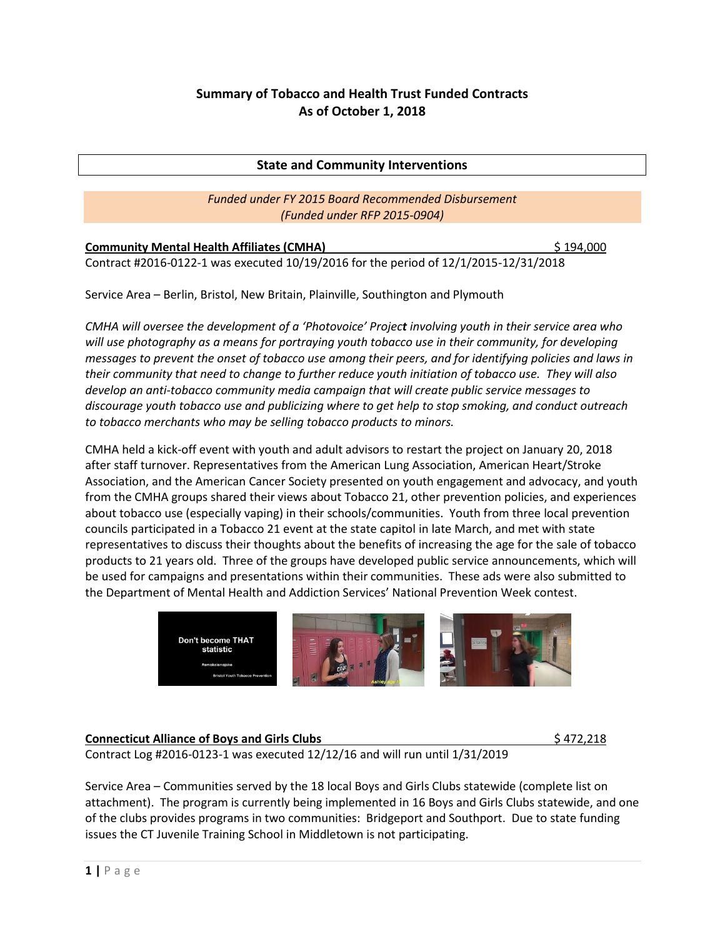# **Summary of Tobacco and Health Trust Funded Contracts As of October 1, 2018**

# **State and Community Interventions**

# *Funded under FY 2015 Board Recommended Disbursement (Funded under RFP 2015-0904)*

| <b>Community Mental Health Affiliates (CMHA)</b>                                     | \$194,000 |
|--------------------------------------------------------------------------------------|-----------|
| Contract #2016-0122-1 was executed 10/19/2016 for the period of 12/1/2015-12/31/2018 |           |

Service Area – Berlin, Bristol, New Britain, Plainville, Southington and Plymouth

*CMHA will oversee the development of a 'Photovoice' Project involving youth in their service area who will use photography as a means for portraying youth tobacco use in their community, for developing messages to prevent the onset of tobacco use among their peers, and for identifying policies and laws in their community that need to change to further reduce youth initiation of tobacco use. They will also develop an anti-tobacco community media campaign that will create public service messages to discourage youth tobacco use and publicizing where to get help to stop smoking, and conduct outreach to tobacco merchants who may be selling tobacco products to minors.*

CMHA held a kick-off event with youth and adult advisors to restart the project on January 20, 2018 after staff turnover. Representatives from the American Lung Association, American Heart/Stroke Association, and the American Cancer Society presented on youth engagement and advocacy, and youth from the CMHA groups shared their views about Tobacco 21, other prevention policies, and experiences about tobacco use (especially vaping) in their schools/communities. Youth from three local prevention councils participated in a Tobacco 21 event at the state capitol in late March, and met with state representatives to discuss their thoughts about the benefits of increasing the age for the sale of tobacco products to 21 years old. Three of the groups have developed public service announcements, which will be used for campaigns and presentations within their communities. These ads were also submitted to the Department of Mental Health and Addiction Services' National Prevention Week contest.



# **Connecticut Alliance of Boys and Girls Clubs 1996 1997 12:318**

Contract Log #2016-0123-1 was executed 12/12/16 and will run until 1/31/2019

Service Area – Communities served by the 18 local Boys and Girls Clubs statewide (complete list on attachment). The program is currently being implemented in 16 Boys and Girls Clubs statewide, and one of the clubs provides programs in two communities: Bridgeport and Southport. Due to state funding issues the CT Juvenile Training School in Middletown is not participating.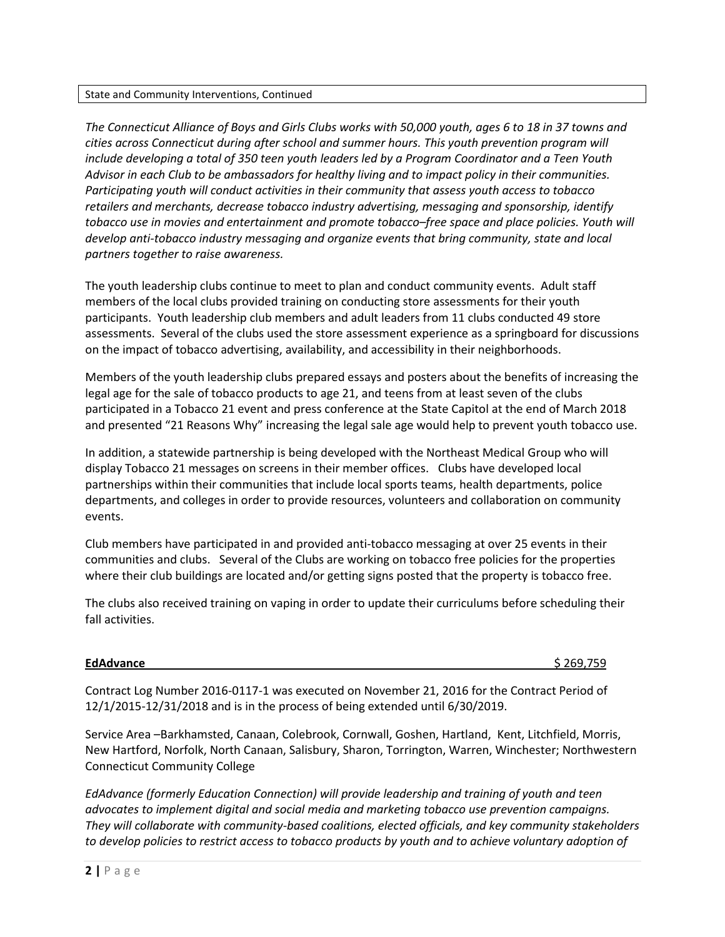#### State and Community Interventions, Continued

*The Connecticut Alliance of Boys and Girls Clubs works with 50,000 youth, ages 6 to 18 in 37 towns and cities across Connecticut during after school and summer hours. This youth prevention program will include developing a total of 350 teen youth leaders led by a Program Coordinator and a Teen Youth Advisor in each Club to be ambassadors for healthy living and to impact policy in their communities. Participating youth will conduct activities in their community that assess youth access to tobacco retailers and merchants, decrease tobacco industry advertising, messaging and sponsorship, identify tobacco use in movies and entertainment and promote tobacco–free space and place policies. Youth will develop anti-tobacco industry messaging and organize events that bring community, state and local partners together to raise awareness.*

The youth leadership clubs continue to meet to plan and conduct community events. Adult staff members of the local clubs provided training on conducting store assessments for their youth participants. Youth leadership club members and adult leaders from 11 clubs conducted 49 store assessments. Several of the clubs used the store assessment experience as a springboard for discussions on the impact of tobacco advertising, availability, and accessibility in their neighborhoods.

Members of the youth leadership clubs prepared essays and posters about the benefits of increasing the legal age for the sale of tobacco products to age 21, and teens from at least seven of the clubs participated in a Tobacco 21 event and press conference at the State Capitol at the end of March 2018 and presented "21 Reasons Why" increasing the legal sale age would help to prevent youth tobacco use.

In addition, a statewide partnership is being developed with the Northeast Medical Group who will display Tobacco 21 messages on screens in their member offices. Clubs have developed local partnerships within their communities that include local sports teams, health departments, police departments, and colleges in order to provide resources, volunteers and collaboration on community events.

Club members have participated in and provided anti-tobacco messaging at over 25 events in their communities and clubs. Several of the Clubs are working on tobacco free policies for the properties where their club buildings are located and/or getting signs posted that the property is tobacco free.

The clubs also received training on vaping in order to update their curriculums before scheduling their fall activities.

#### **EdAdvance** \$ 269,759

Contract Log Number 2016-0117-1 was executed on November 21, 2016 for the Contract Period of 12/1/2015-12/31/2018 and is in the process of being extended until 6/30/2019.

Service Area –Barkhamsted, Canaan, Colebrook, Cornwall, Goshen, Hartland, Kent, Litchfield, Morris, New Hartford, Norfolk, North Canaan, Salisbury, Sharon, Torrington, Warren, Winchester; Northwestern Connecticut Community College

*EdAdvance (formerly Education Connection) will provide leadership and training of youth and teen advocates to implement digital and social media and marketing tobacco use prevention campaigns. They will collaborate with community-based coalitions, elected officials, and key community stakeholders to develop policies to restrict access to tobacco products by youth and to achieve voluntary adoption of*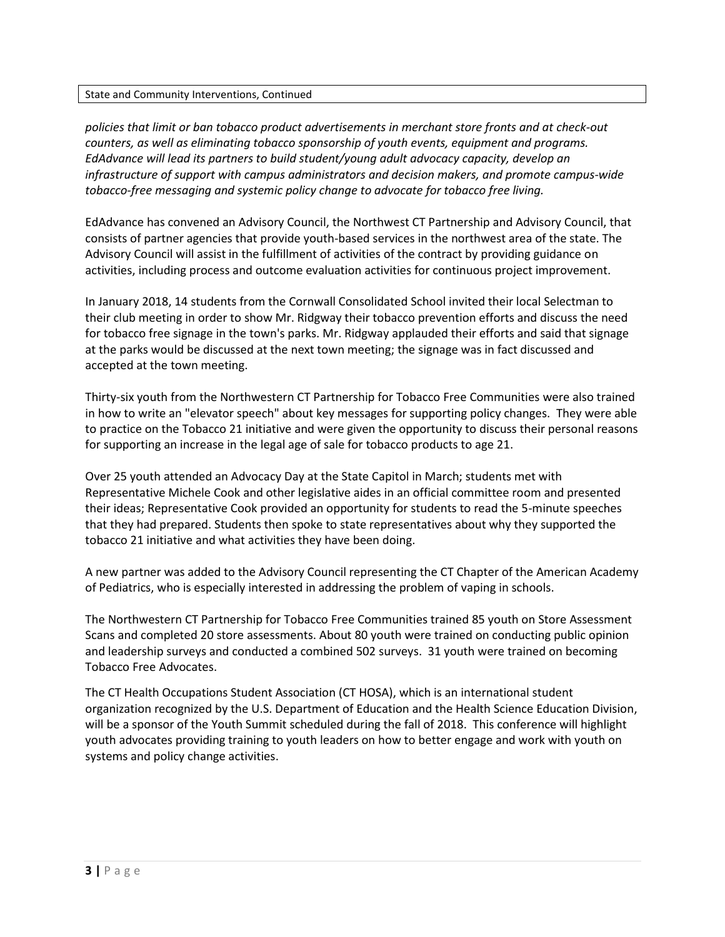#### State and Community Interventions, Continued

*policies that limit or ban tobacco product advertisements in merchant store fronts and at check-out counters, as well as eliminating tobacco sponsorship of youth events, equipment and programs. EdAdvance will lead its partners to build student/young adult advocacy capacity, develop an infrastructure of support with campus administrators and decision makers, and promote campus-wide tobacco-free messaging and systemic policy change to advocate for tobacco free living.*

EdAdvance has convened an Advisory Council, the Northwest CT Partnership and Advisory Council, that consists of partner agencies that provide youth-based services in the northwest area of the state. The Advisory Council will assist in the fulfillment of activities of the contract by providing guidance on activities, including process and outcome evaluation activities for continuous project improvement.

In January 2018, 14 students from the Cornwall Consolidated School invited their local Selectman to their club meeting in order to show Mr. Ridgway their tobacco prevention efforts and discuss the need for tobacco free signage in the town's parks. Mr. Ridgway applauded their efforts and said that signage at the parks would be discussed at the next town meeting; the signage was in fact discussed and accepted at the town meeting.

Thirty-six youth from the Northwestern CT Partnership for Tobacco Free Communities were also trained in how to write an "elevator speech" about key messages for supporting policy changes. They were able to practice on the Tobacco 21 initiative and were given the opportunity to discuss their personal reasons for supporting an increase in the legal age of sale for tobacco products to age 21.

Over 25 youth attended an Advocacy Day at the State Capitol in March; students met with Representative Michele Cook and other legislative aides in an official committee room and presented their ideas; Representative Cook provided an opportunity for students to read the 5-minute speeches that they had prepared. Students then spoke to state representatives about why they supported the tobacco 21 initiative and what activities they have been doing.

A new partner was added to the Advisory Council representing the CT Chapter of the American Academy of Pediatrics, who is especially interested in addressing the problem of vaping in schools.

The Northwestern CT Partnership for Tobacco Free Communities trained 85 youth on Store Assessment Scans and completed 20 store assessments. About 80 youth were trained on conducting public opinion and leadership surveys and conducted a combined 502 surveys. 31 youth were trained on becoming Tobacco Free Advocates.

The CT Health Occupations Student Association (CT HOSA), which is an international student organization recognized by the U.S. Department of Education and the Health Science Education Division, will be a sponsor of the Youth Summit scheduled during the fall of 2018. This conference will highlight youth advocates providing training to youth leaders on how to better engage and work with youth on systems and policy change activities.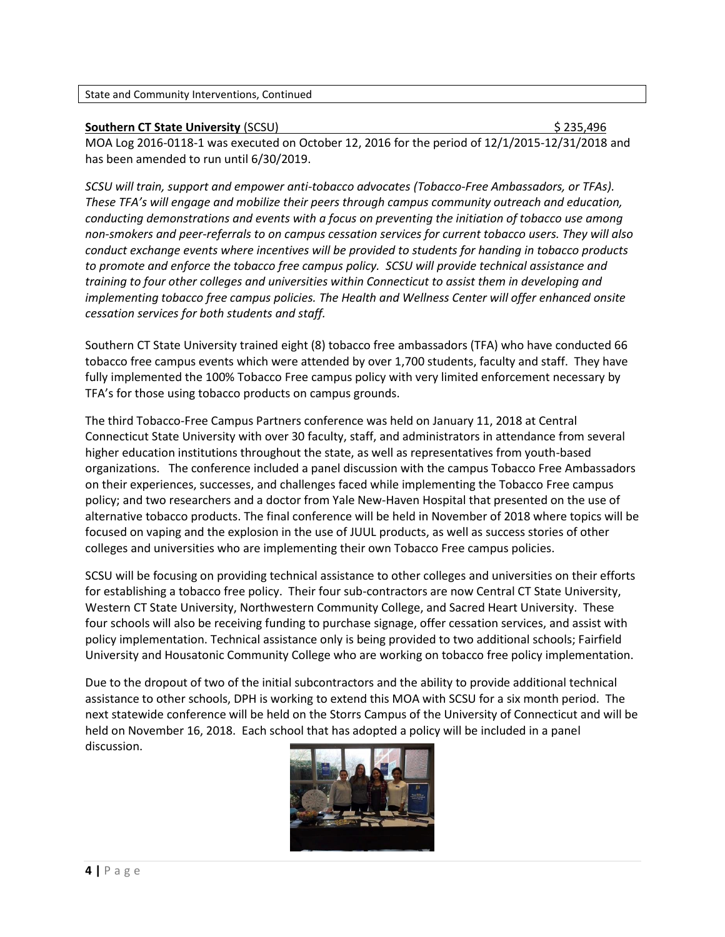### **Southern CT State University** (SCSU)  $\frac{1}{2}$  (Section 2015) **\$ 235,496**

MOA Log 2016-0118-1 was executed on October 12, 2016 for the period of 12/1/2015-12/31/2018 and has been amended to run until 6/30/2019.

*SCSU will train, support and empower anti-tobacco advocates (Tobacco-Free Ambassadors, or TFAs). These TFA's will engage and mobilize their peers through campus community outreach and education, conducting demonstrations and events with a focus on preventing the initiation of tobacco use among non-smokers and peer-referrals to on campus cessation services for current tobacco users. They will also conduct exchange events where incentives will be provided to students for handing in tobacco products to promote and enforce the tobacco free campus policy. SCSU will provide technical assistance and training to four other colleges and universities within Connecticut to assist them in developing and implementing tobacco free campus policies. The Health and Wellness Center will offer enhanced onsite cessation services for both students and staff.*

Southern CT State University trained eight (8) tobacco free ambassadors (TFA) who have conducted 66 tobacco free campus events which were attended by over 1,700 students, faculty and staff. They have fully implemented the 100% Tobacco Free campus policy with very limited enforcement necessary by TFA's for those using tobacco products on campus grounds.

The third Tobacco-Free Campus Partners conference was held on January 11, 2018 at Central Connecticut State University with over 30 faculty, staff, and administrators in attendance from several higher education institutions throughout the state, as well as representatives from youth-based organizations. The conference included a panel discussion with the campus Tobacco Free Ambassadors on their experiences, successes, and challenges faced while implementing the Tobacco Free campus policy; and two researchers and a doctor from Yale New-Haven Hospital that presented on the use of alternative tobacco products. The final conference will be held in November of 2018 where topics will be focused on vaping and the explosion in the use of JUUL products, as well as success stories of other colleges and universities who are implementing their own Tobacco Free campus policies.

SCSU will be focusing on providing technical assistance to other colleges and universities on their efforts for establishing a tobacco free policy. Their four sub-contractors are now Central CT State University, Western CT State University, Northwestern Community College, and Sacred Heart University. These four schools will also be receiving funding to purchase signage, offer cessation services, and assist with policy implementation. Technical assistance only is being provided to two additional schools; Fairfield University and Housatonic Community College who are working on tobacco free policy implementation.

Due to the dropout of two of the initial subcontractors and the ability to provide additional technical assistance to other schools, DPH is working to extend this MOA with SCSU for a six month period. The next statewide conference will be held on the Storrs Campus of the University of Connecticut and will be held on November 16, 2018. Each school that has adopted a policy will be included in a panel discussion.

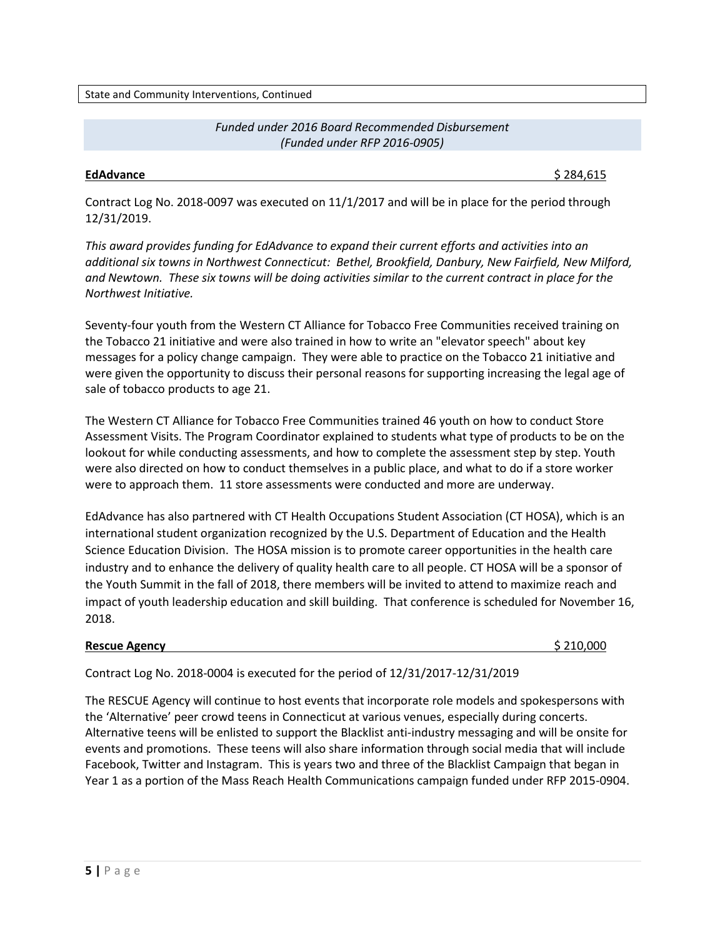State and Community Interventions, Continued

# *Funded under 2016 Board Recommended Disbursement (Funded under RFP 2016-0905)*

#### **EdAdvance** \$ 284,615

Contract Log No. 2018-0097 was executed on 11/1/2017 and will be in place for the period through 12/31/2019.

*This award provides funding for EdAdvance to expand their current efforts and activities into an additional six towns in Northwest Connecticut: Bethel, Brookfield, Danbury, New Fairfield, New Milford, and Newtown. These six towns will be doing activities similar to the current contract in place for the Northwest Initiative.*

Seventy-four youth from the Western CT Alliance for Tobacco Free Communities received training on the Tobacco 21 initiative and were also trained in how to write an "elevator speech" about key messages for a policy change campaign. They were able to practice on the Tobacco 21 initiative and were given the opportunity to discuss their personal reasons for supporting increasing the legal age of sale of tobacco products to age 21.

The Western CT Alliance for Tobacco Free Communities trained 46 youth on how to conduct Store Assessment Visits. The Program Coordinator explained to students what type of products to be on the lookout for while conducting assessments, and how to complete the assessment step by step. Youth were also directed on how to conduct themselves in a public place, and what to do if a store worker were to approach them. 11 store assessments were conducted and more are underway.

EdAdvance has also partnered with CT Health Occupations Student Association (CT HOSA), which is an international student organization recognized by the U.S. Department of Education and the Health Science Education Division. The HOSA mission is to promote career opportunities in the health care industry and to enhance the delivery of quality health care to all people. CT HOSA will be a sponsor of the Youth Summit in the fall of 2018, there members will be invited to attend to maximize reach and impact of youth leadership education and skill building. That conference is scheduled for November 16, 2018.

# **Rescue Agency by a 210,000 \$ 210,000 \$ 210,000 \$ 210,000 \$ 210,000 \$ 210,000 \$ 210,000 \$**

Contract Log No. 2018-0004 is executed for the period of 12/31/2017-12/31/2019

The RESCUE Agency will continue to host events that incorporate role models and spokespersons with the 'Alternative' peer crowd teens in Connecticut at various venues, especially during concerts. Alternative teens will be enlisted to support the Blacklist anti-industry messaging and will be onsite for events and promotions. These teens will also share information through social media that will include Facebook, Twitter and Instagram. This is years two and three of the Blacklist Campaign that began in Year 1 as a portion of the Mass Reach Health Communications campaign funded under RFP 2015-0904.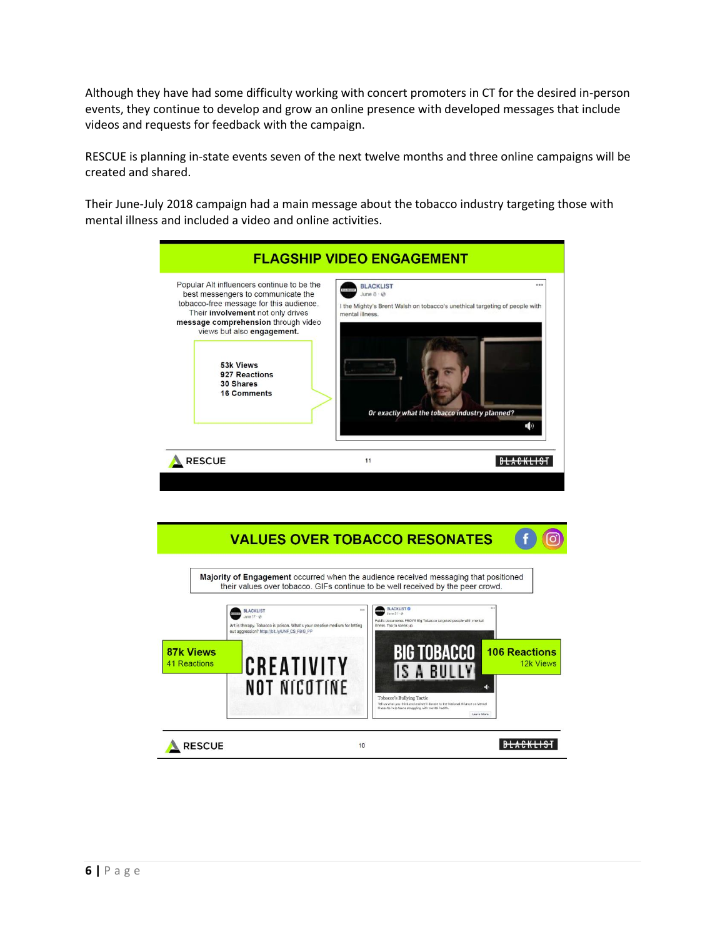Although they have had some difficulty working with concert promoters in CT for the desired in-person events, they continue to develop and grow an online presence with developed messages that include videos and requests for feedback with the campaign.

RESCUE is planning in-state events seven of the next twelve months and three online campaigns will be created and shared.

Their June-July 2018 campaign had a main message about the tobacco industry targeting those with mental illness and included a video and online activities.

| Popular Alt influencers continue to be the<br>best messengers to communicate the<br>tobacco-free message for this audience.<br>Their involvement not only drives<br>message comprehension through video<br>views but also engagement.<br>53k Views<br>927 Reactions<br>30 Shares<br><b>16 Comments</b> | <b>BLACKLIST</b><br><br>June $8 \cdot 10$<br>I the Mighty's Brent Walsh on tobacco's unethical targeting of people with<br>mental illness.<br>Or exactly what the tobacco industry planned?<br>$($ b) |
|--------------------------------------------------------------------------------------------------------------------------------------------------------------------------------------------------------------------------------------------------------------------------------------------------------|-------------------------------------------------------------------------------------------------------------------------------------------------------------------------------------------------------|
| <b>RESCUE</b>                                                                                                                                                                                                                                                                                          | 11                                                                                                                                                                                                    |

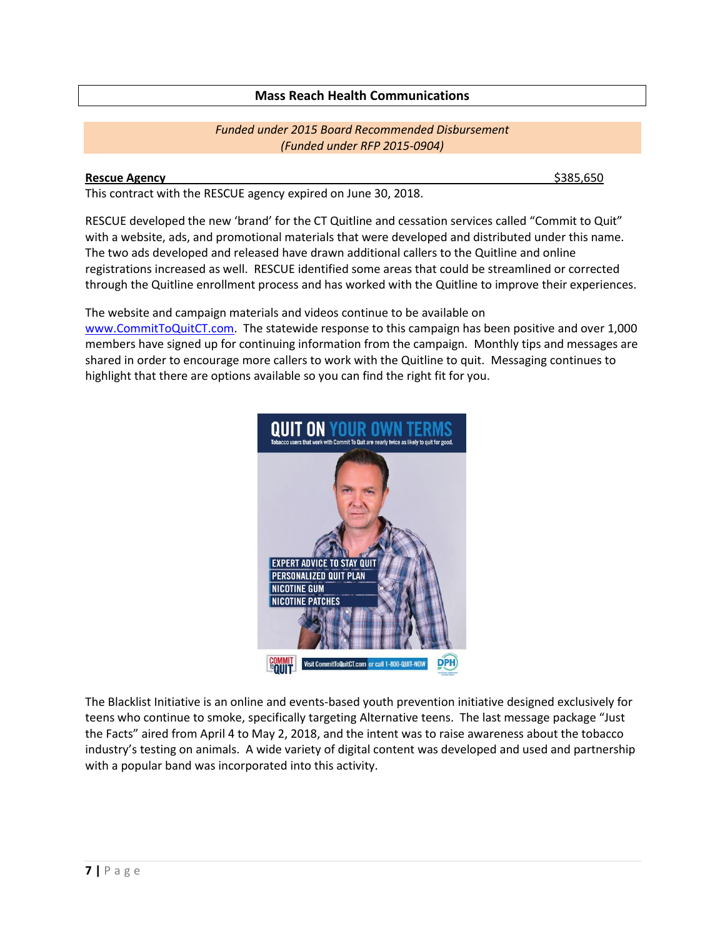# **Mass Reach Health Communications**

## *Funded under 2015 Board Recommended Disbursement (Funded under RFP 2015-0904)*

#### **Rescue Agency** \$385,650

This contract with the RESCUE agency expired on June 30, 2018.

RESCUE developed the new 'brand' for the CT Quitline and cessation services called "Commit to Quit" with a website, ads, and promotional materials that were developed and distributed under this name. The two ads developed and released have drawn additional callers to the Quitline and online registrations increased as well. RESCUE identified some areas that could be streamlined or corrected through the Quitline enrollment process and has worked with the Quitline to improve their experiences.

The website and campaign materials and videos continue to be available on [www.CommitToQuitCT.com.](http://www.committoquitct.com/) The statewide response to this campaign has been positive and over 1,000 members have signed up for continuing information from the campaign. Monthly tips and messages are shared in order to encourage more callers to work with the Quitline to quit. Messaging continues to highlight that there are options available so you can find the right fit for you.



The Blacklist Initiative is an online and events-based youth prevention initiative designed exclusively for teens who continue to smoke, specifically targeting Alternative teens. The last message package "Just the Facts" aired from April 4 to May 2, 2018, and the intent was to raise awareness about the tobacco industry's testing on animals. A wide variety of digital content was developed and used and partnership with a popular band was incorporated into this activity.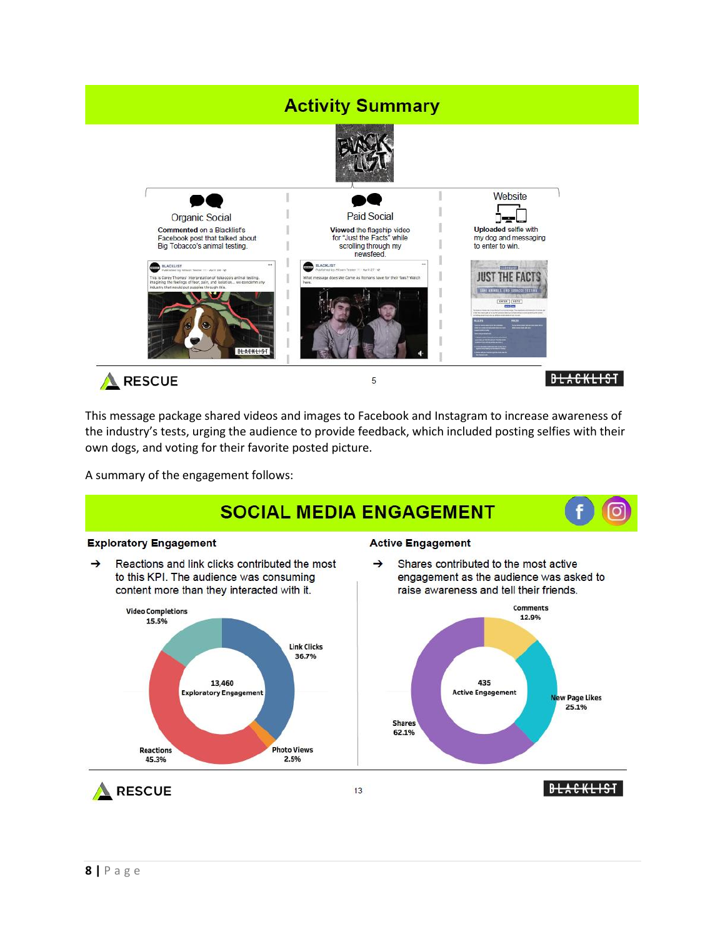# **Activity Summary**





This message package shared videos and images to Facebook and Instagram to increase awareness of the industry's tests, urging the audience to provide feedback, which included posting selfies with their own dogs, and voting for their favorite posted picture.

A summary of the engagement follows:

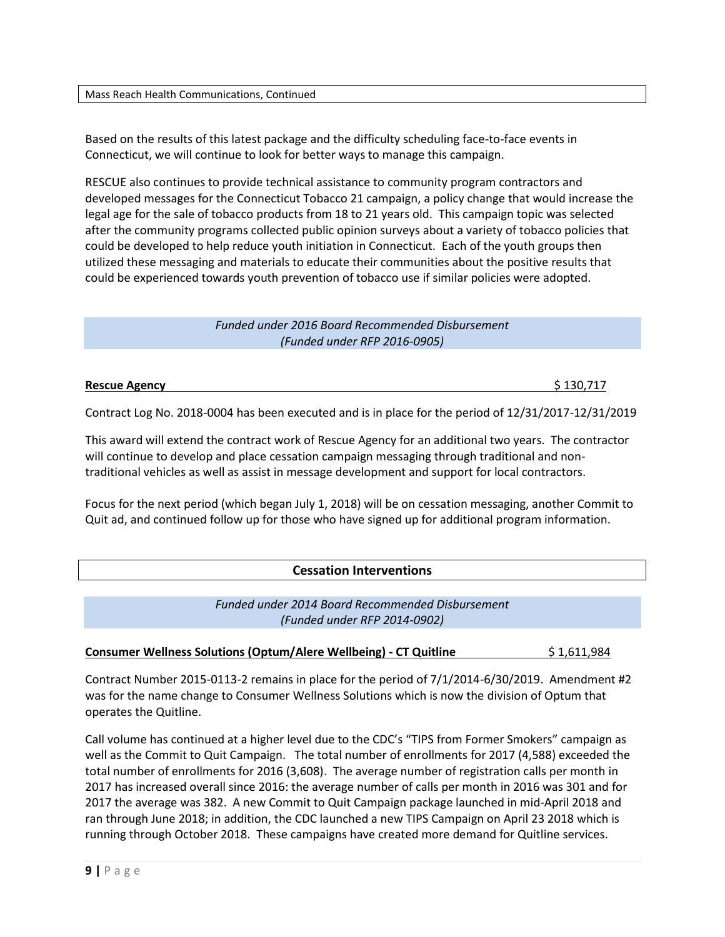Mass Reach Health Communications, Continued

Based on the results of this latest package and the difficulty scheduling face-to-face events in Connecticut, we will continue to look for better ways to manage this campaign.

RESCUE also continues to provide technical assistance to community program contractors and developed messages for the Connecticut Tobacco 21 campaign, a policy change that would increase the legal age for the sale of tobacco products from 18 to 21 years old. This campaign topic was selected after the community programs collected public opinion surveys about a variety of tobacco policies that could be developed to help reduce youth initiation in Connecticut. Each of the youth groups then utilized these messaging and materials to educate their communities about the positive results that could be experienced towards youth prevention of tobacco use if similar policies were adopted.

### *Funded under 2016 Board Recommended Disbursement (Funded under RFP 2016-0905)*

**Rescue Agency** \$ 130,717

Contract Log No. 2018-0004 has been executed and is in place for the period of 12/31/2017-12/31/2019

This award will extend the contract work of Rescue Agency for an additional two years. The contractor will continue to develop and place cessation campaign messaging through traditional and nontraditional vehicles as well as assist in message development and support for local contractors.

Focus for the next period (which began July 1, 2018) will be on cessation messaging, another Commit to Quit ad, and continued follow up for those who have signed up for additional program information.

# **Cessation Interventions**

*Funded under 2014 Board Recommended Disbursement (Funded under RFP 2014-0902)*

# **Consumer Wellness Solutions (Optum/Alere Wellbeing) - CT Quitline**  $$1,611,984$

Contract Number 2015-0113-2 remains in place for the period of 7/1/2014-6/30/2019. Amendment #2 was for the name change to Consumer Wellness Solutions which is now the division of Optum that operates the Quitline.

Call volume has continued at a higher level due to the CDC's "TIPS from Former Smokers" campaign as well as the Commit to Quit Campaign. The total number of enrollments for 2017 (4,588) exceeded the total number of enrollments for 2016 (3,608). The average number of registration calls per month in 2017 has increased overall since 2016: the average number of calls per month in 2016 was 301 and for 2017 the average was 382. A new Commit to Quit Campaign package launched in mid-April 2018 and ran through June 2018; in addition, the CDC launched a new TIPS Campaign on April 23 2018 which is running through October 2018. These campaigns have created more demand for Quitline services.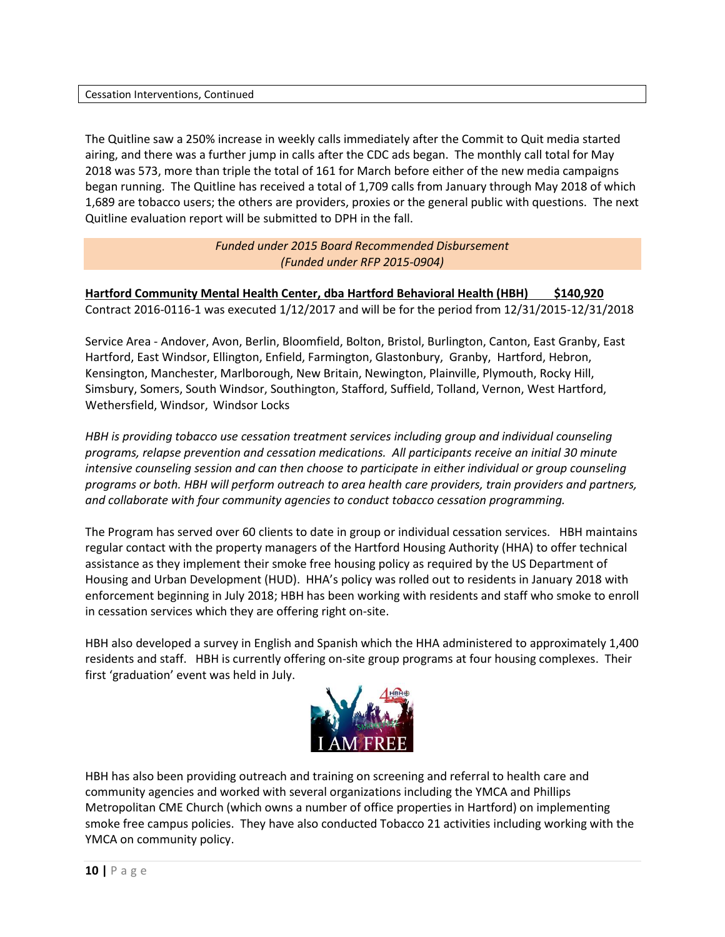#### Cessation Interventions, Continued

The Quitline saw a 250% increase in weekly calls immediately after the Commit to Quit media started airing, and there was a further jump in calls after the CDC ads began. The monthly call total for May 2018 was 573, more than triple the total of 161 for March before either of the new media campaigns began running. The Quitline has received a total of 1,709 calls from January through May 2018 of which 1,689 are tobacco users; the others are providers, proxies or the general public with questions. The next Quitline evaluation report will be submitted to DPH in the fall.

> *Funded under 2015 Board Recommended Disbursement (Funded under RFP 2015-0904)*

**Hartford Community Mental Health Center, dba Hartford Behavioral Health (HBH) \$140,920** Contract 2016-0116-1 was executed 1/12/2017 and will be for the period from 12/31/2015-12/31/2018

Service Area - Andover, Avon, Berlin, Bloomfield, Bolton, Bristol, Burlington, Canton, East Granby, East Hartford, East Windsor, Ellington, Enfield, Farmington, Glastonbury, Granby, Hartford, Hebron, Kensington, Manchester, Marlborough, New Britain, Newington, Plainville, Plymouth, Rocky Hill, Simsbury, Somers, South Windsor, Southington, Stafford, Suffield, Tolland, Vernon, West Hartford, Wethersfield, Windsor, Windsor Locks

*HBH is providing tobacco use cessation treatment services including group and individual counseling programs, relapse prevention and cessation medications. All participants receive an initial 30 minute intensive counseling session and can then choose to participate in either individual or group counseling programs or both. HBH will perform outreach to area health care providers, train providers and partners, and collaborate with four community agencies to conduct tobacco cessation programming.*

The Program has served over 60 clients to date in group or individual cessation services. HBH maintains regular contact with the property managers of the Hartford Housing Authority (HHA) to offer technical assistance as they implement their smoke free housing policy as required by the US Department of Housing and Urban Development (HUD). HHA's policy was rolled out to residents in January 2018 with enforcement beginning in July 2018; HBH has been working with residents and staff who smoke to enroll in cessation services which they are offering right on-site.

HBH also developed a survey in English and Spanish which the HHA administered to approximately 1,400 residents and staff. HBH is currently offering on-site group programs at four housing complexes. Their first 'graduation' event was held in July.



HBH has also been providing outreach and training on screening and referral to health care and community agencies and worked with several organizations including the YMCA and Phillips Metropolitan CME Church (which owns a number of office properties in Hartford) on implementing smoke free campus policies. They have also conducted Tobacco 21 activities including working with the YMCA on community policy.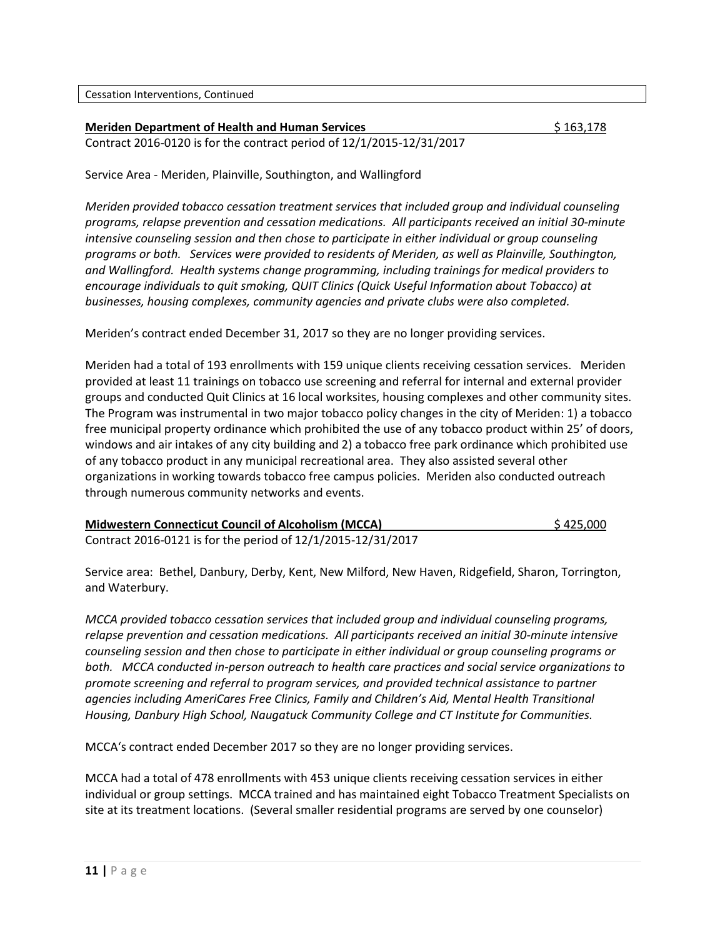#### **Meriden Department of Health and Human Services 163,178**

Contract 2016-0120 is for the contract period of 12/1/2015-12/31/2017

Service Area - Meriden, Plainville, Southington, and Wallingford

*Meriden provided tobacco cessation treatment services that included group and individual counseling programs, relapse prevention and cessation medications. All participants received an initial 30-minute intensive counseling session and then chose to participate in either individual or group counseling programs or both. Services were provided to residents of Meriden, as well as Plainville, Southington, and Wallingford. Health systems change programming, including trainings for medical providers to encourage individuals to quit smoking, QUIT Clinics (Quick Useful Information about Tobacco) at businesses, housing complexes, community agencies and private clubs were also completed.*

Meriden's contract ended December 31, 2017 so they are no longer providing services.

Meriden had a total of 193 enrollments with 159 unique clients receiving cessation services. Meriden provided at least 11 trainings on tobacco use screening and referral for internal and external provider groups and conducted Quit Clinics at 16 local worksites, housing complexes and other community sites. The Program was instrumental in two major tobacco policy changes in the city of Meriden: 1) a tobacco free municipal property ordinance which prohibited the use of any tobacco product within 25' of doors, windows and air intakes of any city building and 2) a tobacco free park ordinance which prohibited use of any tobacco product in any municipal recreational area. They also assisted several other organizations in working towards tobacco free campus policies. Meriden also conducted outreach through numerous community networks and events.

| <b>Midwestern Connecticut Council of Alcoholism (MCCA)</b>   | \$425,000 |
|--------------------------------------------------------------|-----------|
| Contract 2016-0121 is for the period of 12/1/2015-12/31/2017 |           |

Service area: Bethel, Danbury, Derby, Kent, New Milford, New Haven, Ridgefield, Sharon, Torrington, and Waterbury.

*MCCA provided tobacco cessation services that included group and individual counseling programs, relapse prevention and cessation medications. All participants received an initial 30-minute intensive counseling session and then chose to participate in either individual or group counseling programs or both. MCCA conducted in-person outreach to health care practices and social service organizations to promote screening and referral to program services, and provided technical assistance to partner agencies including AmeriCares Free Clinics, Family and Children's Aid, Mental Health Transitional Housing, Danbury High School, Naugatuck Community College and CT Institute for Communities.* 

MCCA's contract ended December 2017 so they are no longer providing services.

MCCA had a total of 478 enrollments with 453 unique clients receiving cessation services in either individual or group settings. MCCA trained and has maintained eight Tobacco Treatment Specialists on site at its treatment locations. (Several smaller residential programs are served by one counselor)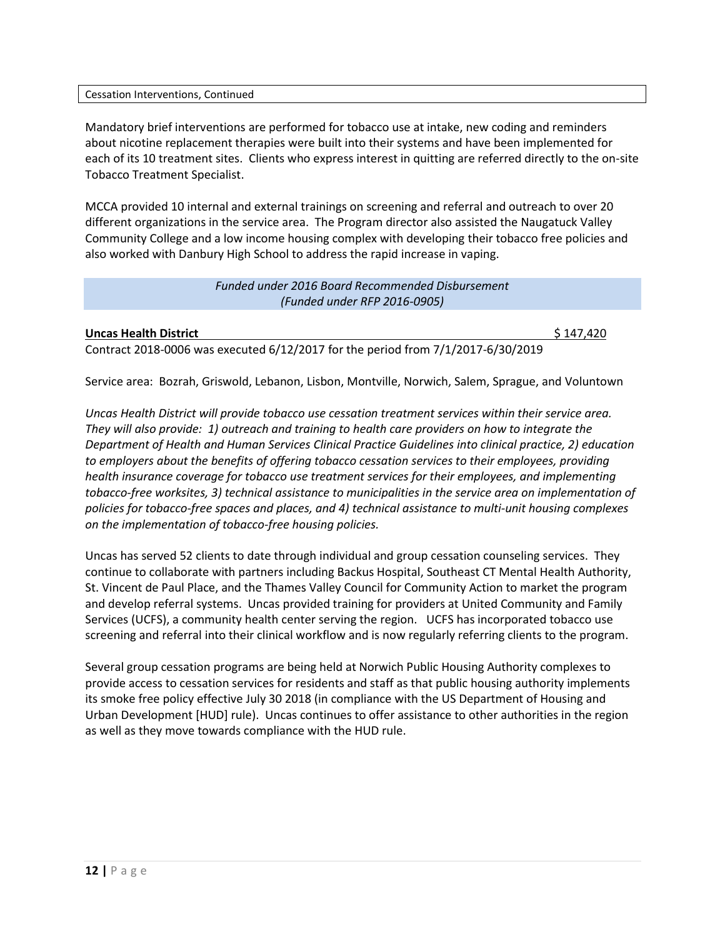#### Cessation Interventions, Continued

Mandatory brief interventions are performed for tobacco use at intake, new coding and reminders about nicotine replacement therapies were built into their systems and have been implemented for each of its 10 treatment sites. Clients who express interest in quitting are referred directly to the on-site Tobacco Treatment Specialist.

MCCA provided 10 internal and external trainings on screening and referral and outreach to over 20 different organizations in the service area. The Program director also assisted the Naugatuck Valley Community College and a low income housing complex with developing their tobacco free policies and also worked with Danbury High School to address the rapid increase in vaping.

# *Funded under 2016 Board Recommended Disbursement (Funded under RFP 2016-0905)*

#### **Uncas Health District the Second Second Second Second Second Second Second Second Second Second Second Second S**

Contract 2018-0006 was executed 6/12/2017 for the period from 7/1/2017-6/30/2019

Service area: Bozrah, Griswold, Lebanon, Lisbon, Montville, Norwich, Salem, Sprague, and Voluntown

*Uncas Health District will provide tobacco use cessation treatment services within their service area. They will also provide: 1) outreach and training to health care providers on how to integrate the Department of Health and Human Services Clinical Practice Guidelines into clinical practice, 2) education to employers about the benefits of offering tobacco cessation services to their employees, providing health insurance coverage for tobacco use treatment services for their employees, and implementing tobacco-free worksites, 3) technical assistance to municipalities in the service area on implementation of policies for tobacco-free spaces and places, and 4) technical assistance to multi-unit housing complexes on the implementation of tobacco-free housing policies.*

Uncas has served 52 clients to date through individual and group cessation counseling services. They continue to collaborate with partners including Backus Hospital, Southeast CT Mental Health Authority, St. Vincent de Paul Place, and the Thames Valley Council for Community Action to market the program and develop referral systems. Uncas provided training for providers at United Community and Family Services (UCFS), a community health center serving the region. UCFS has incorporated tobacco use screening and referral into their clinical workflow and is now regularly referring clients to the program.

Several group cessation programs are being held at Norwich Public Housing Authority complexes to provide access to cessation services for residents and staff as that public housing authority implements its smoke free policy effective July 30 2018 (in compliance with the US Department of Housing and Urban Development [HUD] rule). Uncas continues to offer assistance to other authorities in the region as well as they move towards compliance with the HUD rule.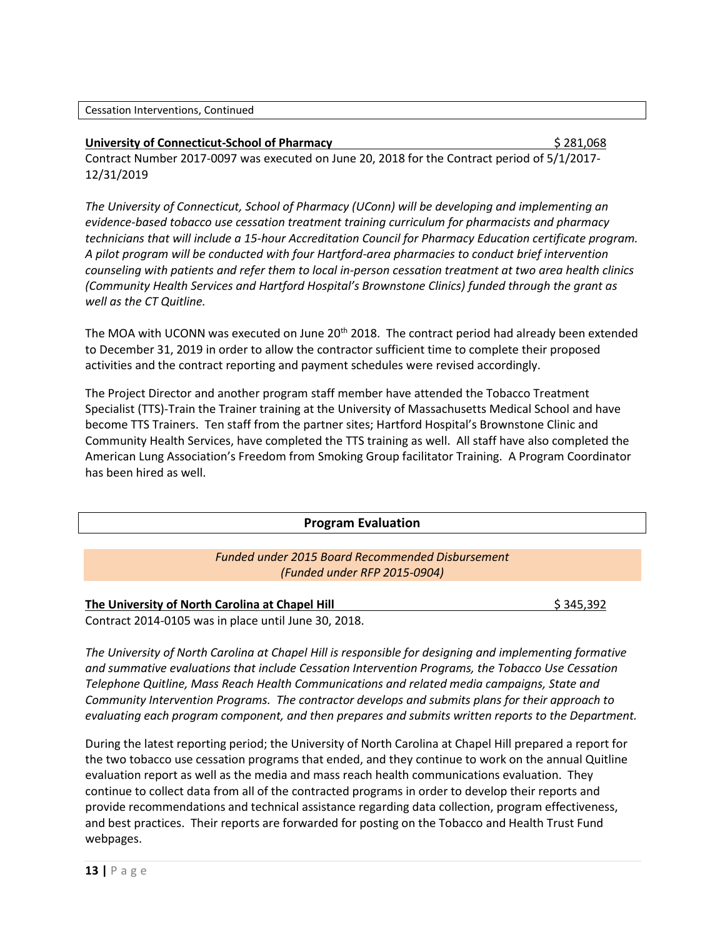#### **University of Connecticut-School of Pharmacy** \$ 281,068

Contract Number 2017-0097 was executed on June 20, 2018 for the Contract period of 5/1/2017- 12/31/2019

*The University of Connecticut, School of Pharmacy (UConn) will be developing and implementing an evidence-based tobacco use cessation treatment training curriculum for pharmacists and pharmacy technicians that will include a 15-hour Accreditation Council for Pharmacy Education certificate program. A pilot program will be conducted with four Hartford-area pharmacies to conduct brief intervention counseling with patients and refer them to local in-person cessation treatment at two area health clinics (Community Health Services and Hartford Hospital's Brownstone Clinics) funded through the grant as well as the CT Quitline.* 

The MOA with UCONN was executed on June 20<sup>th</sup> 2018. The contract period had already been extended to December 31, 2019 in order to allow the contractor sufficient time to complete their proposed activities and the contract reporting and payment schedules were revised accordingly.

The Project Director and another program staff member have attended the Tobacco Treatment Specialist (TTS)-Train the Trainer training at the University of Massachusetts Medical School and have become TTS Trainers. Ten staff from the partner sites; Hartford Hospital's Brownstone Clinic and Community Health Services, have completed the TTS training as well. All staff have also completed the American Lung Association's Freedom from Smoking Group facilitator Training. A Program Coordinator has been hired as well.

#### **Program Evaluation**

# *Funded under 2015 Board Recommended Disbursement (Funded under RFP 2015-0904)*

# **The University of North Carolina at Chapel Hill <b>Sault According to the University of North Carolina at Chapel Hill**  $\frac{1}{2}$  345,392

Contract 2014-0105 was in place until June 30, 2018.

*The University of North Carolina at Chapel Hill is responsible for designing and implementing formative and summative evaluations that include Cessation Intervention Programs, the Tobacco Use Cessation Telephone Quitline, Mass Reach Health Communications and related media campaigns, State and Community Intervention Programs. The contractor develops and submits plans for their approach to evaluating each program component, and then prepares and submits written reports to the Department.* 

During the latest reporting period; the University of North Carolina at Chapel Hill prepared a report for the two tobacco use cessation programs that ended, and they continue to work on the annual Quitline evaluation report as well as the media and mass reach health communications evaluation. They continue to collect data from all of the contracted programs in order to develop their reports and provide recommendations and technical assistance regarding data collection, program effectiveness, and best practices. Their reports are forwarded for posting on the Tobacco and Health Trust Fund webpages.